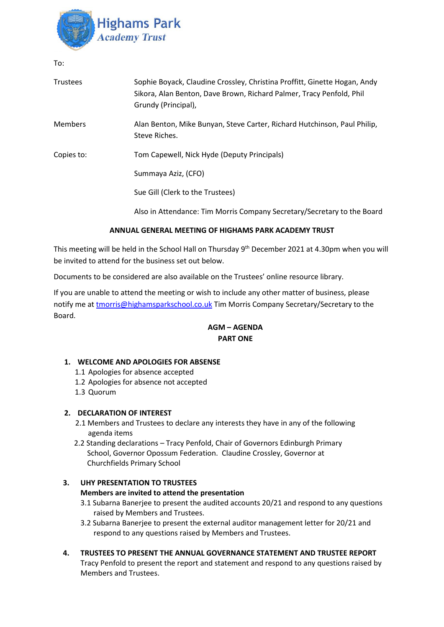

To:

| Trustees       | Sophie Boyack, Claudine Crossley, Christina Proffitt, Ginette Hogan, Andy<br>Sikora, Alan Benton, Dave Brown, Richard Palmer, Tracy Penfold, Phil<br>Grundy (Principal), |
|----------------|--------------------------------------------------------------------------------------------------------------------------------------------------------------------------|
| <b>Members</b> | Alan Benton, Mike Bunyan, Steve Carter, Richard Hutchinson, Paul Philip,<br>Steve Riches.                                                                                |
| Copies to:     | Tom Capewell, Nick Hyde (Deputy Principals)                                                                                                                              |
|                | Summaya Aziz, (CFO)                                                                                                                                                      |
|                | Sue Gill (Clerk to the Trustees)                                                                                                                                         |
|                | Also in Attendance: Tim Morris Company Secretary/Secretary to the Board                                                                                                  |

# **ANNUAL GENERAL MEETING OF HIGHAMS PARK ACADEMY TRUST**

This meeting will be held in the School Hall on Thursday 9<sup>th</sup> December 2021 at 4.30pm when you will be invited to attend for the business set out below.

Documents to be considered are also available on the Trustees' online resource library.

If you are unable to attend the meeting or wish to include any other matter of business, please notify me at [tmorris@highamsparkschool.co.uk](mailto:tmorris@highamsparkschool.co.uk) Tim Morris Company Secretary/Secretary to the Board.

# **AGM – AGENDA PART ONE**

### **1. WELCOME AND APOLOGIES FOR ABSENSE**

- 1.1 Apologies for absence accepted
- 1.2 Apologies for absence not accepted
- 1.3 Quorum

### **2. DECLARATION OF INTEREST**

- 2.1 Members and Trustees to declare any interests they have in any of the following agenda items
- 2.2 Standing declarations Tracy Penfold, Chair of Governors Edinburgh Primary School, Governor Opossum Federation. Claudine Crossley, Governor at Churchfields Primary School

### **3. UHY PRESENTATION TO TRUSTEES**

### **Members are invited to attend the presentation**

- 3.1 Subarna Banerjee to present the audited accounts 20/21 and respond to any questions raised by Members and Trustees.
- 3.2 Subarna Banerjee to present the external auditor management letter for 20/21 and respond to any questions raised by Members and Trustees.
- **4. TRUSTEES TO PRESENT THE ANNUAL GOVERNANCE STATEMENT AND TRUSTEE REPORT** Tracy Penfold to present the report and statement and respond to any questions raised by Members and Trustees.